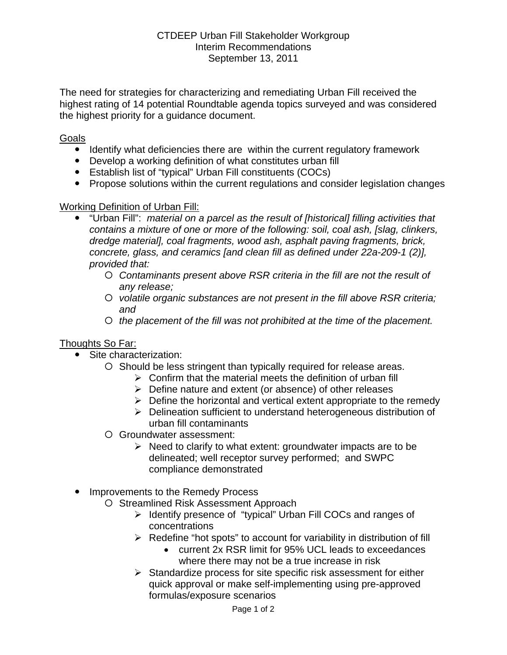The need for strategies for characterizing and remediating Urban Fill received the highest rating of 14 potential Roundtable agenda topics surveyed and was considered the highest priority for a guidance document.

## Goals

- Identify what deficiencies there are within the current regulatory framework
- Develop a working definition of what constitutes urban fill
- Establish list of "typical" Urban Fill constituents (COCs)
- Propose solutions within the current regulations and consider legislation changes

## Working Definition of Urban Fill:

- y "Urban Fill": *material on a parcel as the result of [historical] filling activities that contains a mixture of one or more of the following: soil, coal ash, [slag, clinkers, dredge material], coal fragments, wood ash, asphalt paving fragments, brick, concrete, glass, and ceramics [and clean fill as defined under 22a-209-1 (2)], provided that:*
	- { *Contaminants present above RSR criteria in the fill are not the result of any release;*
	- { *volatile organic substances are not present in the fill above RSR criteria; and*
	- { *the placement of the fill was not prohibited at the time of the placement.*

## Thoughts So Far:

- Site characterization:
	- { Should be less stringent than typically required for release areas.
		- $\triangleright$  Confirm that the material meets the definition of urban fill
		- $\triangleright$  Define nature and extent (or absence) of other releases
		- $\triangleright$  Define the horizontal and vertical extent appropriate to the remedy
		- ¾ Delineation sufficient to understand heterogeneous distribution of urban fill contaminants
	- { Groundwater assessment:
		- $\triangleright$  Need to clarify to what extent: groundwater impacts are to be delineated; well receptor survey performed; and SWPC compliance demonstrated
- Improvements to the Remedy Process
	- O Streamlined Risk Assessment Approach
		- ¾ Identify presence of "typical" Urban Fill COCs and ranges of concentrations
		- $\triangleright$  Redefine "hot spots" to account for variability in distribution of fill
			- current 2x RSR limit for 95% UCL leads to exceedances where there may not be a true increase in risk
		- $\triangleright$  Standardize process for site specific risk assessment for either quick approval or make self-implementing using pre-approved formulas/exposure scenarios